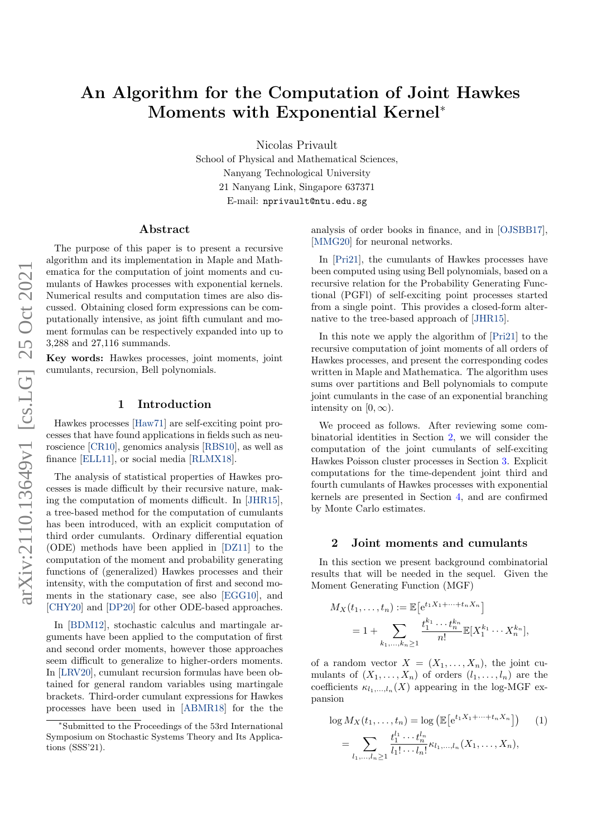# An Algorithm for the Computation of Joint Hawkes Moments with Exponential Kernel<sup>∗</sup>

Nicolas Privault

School of Physical and Mathematical Sciences, Nanyang Technological University 21 Nanyang Link, Singapore 637371 E-mail: nprivault@ntu.edu.sg

### Abstract

The purpose of this paper is to present a recursive algorithm and its implementation in Maple and Mathematica for the computation of joint moments and cumulants of Hawkes processes with exponential kernels. Numerical results and computation times are also discussed. Obtaining closed form expressions can be computationally intensive, as joint fifth cumulant and moment formulas can be respectively expanded into up to 3,288 and 27,116 summands.

Key words: Hawkes processes, joint moments, joint cumulants, recursion, Bell polynomials.

#### 1 Introduction

Hawkes processes [\[Haw71\]](#page-5-0) are self-exciting point processes that have found applications in fields such as neuroscience [\[CR10\]](#page-5-1), genomics analysis [\[RBS10\]](#page-6-0), as well as finance [\[ELL11\]](#page-5-2), or social media [\[RLMX18\]](#page-6-1).

The analysis of statistical properties of Hawkes processes is made difficult by their recursive nature, making the computation of moments difficult. In [\[JHR15\]](#page-6-2), a tree-based method for the computation of cumulants has been introduced, with an explicit computation of third order cumulants. Ordinary differential equation (ODE) methods have been applied in [\[DZ11\]](#page-5-3) to the computation of the moment and probability generating functions of (generalized) Hawkes processes and their intensity, with the computation of first and second moments in the stationary case, see also [\[EGG10\]](#page-5-4), and [\[CHY20\]](#page-5-5) and [\[DP20\]](#page-5-6) for other ODE-based approaches.

In [\[BDM12\]](#page-5-7), stochastic calculus and martingale arguments have been applied to the computation of first and second order moments, however those approaches seem difficult to generalize to higher-orders moments. In [\[LRV20\]](#page-6-3), cumulant recursion formulas have been obtained for general random variables using martingale brackets. Third-order cumulant expressions for Hawkes processes have been used in [\[ABMR18\]](#page-5-8) for the the analysis of order books in finance, and in [\[OJSBB17\]](#page-6-4), [\[MMG20\]](#page-6-5) for neuronal networks.

In [\[Pri21\]](#page-6-6), the cumulants of Hawkes processes have been computed using using Bell polynomials, based on a recursive relation for the Probability Generating Functional (PGFl) of self-exciting point processes started from a single point. This provides a closed-form alternative to the tree-based approach of [\[JHR15\]](#page-6-2).

In this note we apply the algorithm of [\[Pri21\]](#page-6-6) to the recursive computation of joint moments of all orders of Hawkes processes, and present the corresponding codes written in Maple and Mathematica. The algorithm uses sums over partitions and Bell polynomials to compute joint cumulants in the case of an exponential branching intensity on  $[0, \infty)$ .

We proceed as follows. After reviewing some combinatorial identities in Section [2,](#page-0-0) we will consider the computation of the joint cumulants of self-exciting Hawkes Poisson cluster processes in Section [3.](#page-1-0) Explicit computations for the time-dependent joint third and fourth cumulants of Hawkes processes with exponential kernels are presented in Section [4,](#page-2-0) and are confirmed by Monte Carlo estimates.

#### <span id="page-0-0"></span>2 Joint moments and cumulants

In this section we present background combinatorial results that will be needed in the sequel. Given the Moment Generating Function (MGF)

$$
M_X(t_1, ..., t_n) := \mathbb{E}\left[e^{t_1 X_1 + \dots + t_n X_n}\right]
$$
  
= 1 + 
$$
\sum_{k_1, ..., k_n \ge 1} \frac{t_1^{k_1} \cdots t_n^{k_n}}{n!} \mathbb{E}[X_1^{k_1} \cdots X_n^{k_n}],
$$

of a random vector  $X = (X_1, \ldots, X_n)$ , the joint cumulants of  $(X_1, \ldots, X_n)$  of orders  $(l_1, \ldots, l_n)$  are the coefficients  $\kappa_{l_1,\dots,l_n}(X)$  appearing in the log-MGF expansion

<span id="page-0-1"></span>
$$
\log M_X(t_1, \dots, t_n) = \log \left( \mathbb{E} \left[ e^{t_1 X_1 + \dots + t_n X_n} \right] \right) \tag{1}
$$
\n
$$
= \sum_{l_1, \dots, l_n \ge 1} \frac{t_1^{l_1} \cdots t_n^{l_n}}{l_1! \cdots l_n!} \kappa_{l_1, \dots, l_n} (X_1, \dots, X_n),
$$

<sup>∗</sup>Submitted to the Proceedings of the 53rd International Symposium on Stochastic Systems Theory and Its Applications (SSS'21).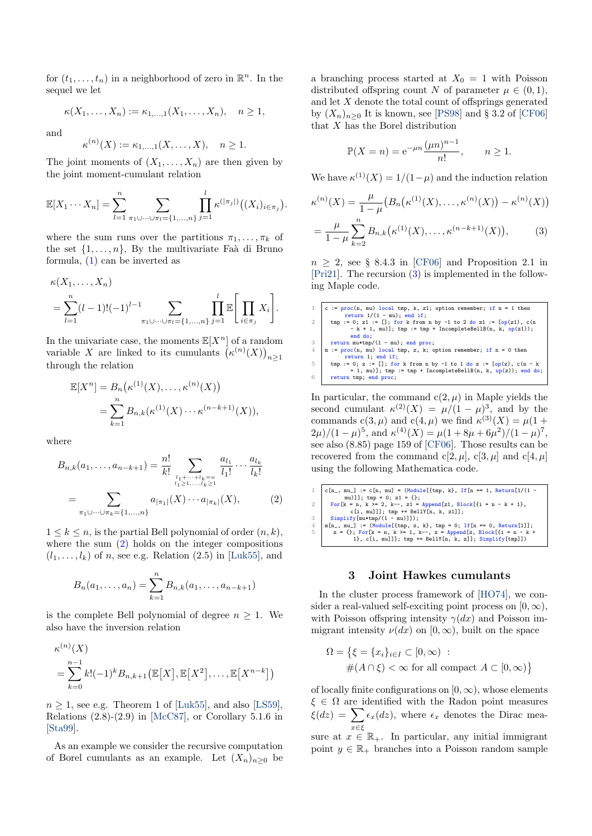for  $(t_1, \ldots, t_n)$  in a neighborhood of zero in  $\mathbb{R}^n$ . In the sequel we let

$$
\kappa(X_1, ..., X_n) := \kappa_{1,...,1}(X_1, ..., X_n), \quad n \ge 1,
$$

and

$$
\kappa^{(n)}(X) := \kappa_{1,...,1}(X,...,X), \quad n \ge 1.
$$

The joint moments of  $(X_1, \ldots, X_n)$  are then given by the joint moment-cumulant relation

<span id="page-1-1"></span>
$$
\mathbb{E}[X_1\cdots X_n]=\sum_{l=1}^n\sum_{\pi_1\cup\cdots\cup\pi_l=\{1,\ldots,n\}}\prod_{j=1}^l\kappa^{(|\pi_j|)}\big((X_i)_{i\in\pi_j}\big).
$$

where the sum runs over the partitions  $\pi_1, \ldots, \pi_k$  of the set  $\{1, \ldots, n\}$ , By the multivariate Faà di Bruno formula, [\(1\)](#page-0-1) can be inverted as

$$
\kappa(X_1, ..., X_n)
$$
  
=  $\sum_{l=1}^n (l-1)!(-1)^{l-1} \sum_{\pi_1 \cup ... \cup \pi_l = \{1,...,n\}} \prod_{j=1}^l \mathbb{E} \left[ \prod_{i \in \pi_j} X_i \right].$ 

In the univariate case, the moments  $\mathbb{E}[X^n]$  of a random variable X are linked to its cumulants  $(\kappa^{(n)}(X))_{n\geq 1}$ through the relation

$$
\mathbb{E}[X^n] = B_n(\kappa^{(1)}(X), \dots, \kappa^{(n)}(X))
$$
  
= 
$$
\sum_{k=1}^n B_{n,k}(\kappa^{(1)}(X) \cdots \kappa^{(n-k+1)}(X)),
$$

where

$$
B_{n,k}(a_1, \ldots, a_{n-k+1}) = \frac{n!}{k!} \sum_{\substack{l_1 + \cdots + l_k = n \\ l_1 \ge 1, \ldots, l_k \ge 1}} \frac{a_{l_1}}{l_1!} \cdots \frac{a_{l_k}}{l_k!}
$$

$$
= \sum_{\pi_1 \cup \cdots \cup \pi_k = \{1, \ldots, n\}} a_{|\pi_1|}(X) \cdots a_{|\pi_k|}(X), \tag{2}
$$

 $1 \leq k \leq n$ , is the partial Bell polynomial of order  $(n, k)$ , where the sum [\(2\)](#page-1-1) holds on the integer compositions  $(l_1, \ldots, l_k)$  of n, see e.g. Relation (2.5) in [\[Luk55\]](#page-6-7), and

$$
B_n(a_1,\ldots,a_n) = \sum_{k=1}^n B_{n,k}(a_1,\ldots,a_{n-k+1})
$$

is the complete Bell polynomial of degree  $n \geq 1$ . We also have the inversion relation

$$
\kappa^{(n)}(X)
$$
  
= 
$$
\sum_{k=0}^{n-1} k!(-1)^k B_{n,k+1}(\mathbb{E}[X], \mathbb{E}[X^2], \dots, \mathbb{E}[X^{n-k}])
$$

 $n \geq 1$ , see e.g. Theorem 1 of [\[Luk55\]](#page-6-7), and also [\[LS59\]](#page-6-8), Relations  $(2.8)-(2.9)$  in [\[McC87\]](#page-6-9), or Corollary 5.1.6 in [\[Sta99\]](#page-6-10).

As an example we consider the recursive computation of Borel cumulants as an example. Let  $(X_n)_{n>0}$  be a branching process started at  $X_0 = 1$  with Poisson distributed offspring count N of parameter  $\mu \in (0,1)$ , and let X denote the total count of offsprings generated by  $(X_n)_{n>0}$  It is known, see [\[PS98\]](#page-6-11) and § 3.2 of [\[CF06\]](#page-5-9) that X has the Borel distribution

<span id="page-1-2"></span>
$$
\mathbb{P}(X=n) = e^{-\mu n} \frac{(\mu n)^{n-1}}{n!}, \qquad n \ge 1.
$$

We have  $\kappa^{(1)}(X) = 1/(1-\mu)$  and the induction relation

$$
\kappa^{(n)}(X) = \frac{\mu}{1-\mu} \left( B_n(\kappa^{(1)}(X), \dots, \kappa^{(n)}(X)) - \kappa^{(n)}(X) \right)
$$

$$
= \frac{\mu}{1-\mu} \sum_{k=2}^n B_{n,k}(\kappa^{(1)}(X), \dots, \kappa^{(n-k+1)}(X)), \tag{3}
$$

 $n \geq 2$ , see § 8.4.3 in [\[CF06\]](#page-5-9) and Proposition 2.1 in [\[Pri21\]](#page-6-6). The recursion [\(3\)](#page-1-2) is implemented in the following Maple code.

1 c :=  $\text{proc}(n, \text{mu})$  local tmp, k, zi; option remember; if n = 1 then<br>
return 1/(1 - mu); end if;<br>
tmp := 0; z1 := []; for k from n by -1 to 2 do z1 := [op(z1), c(n  $-k + 1$ , mu)]; tmp := tmp + IncompleteBellB(n, k, op(z1)); end do;  $\begin{array}{c|c}\n3 & \text{return } \text{mu*tmp/(1 - mu); end proc;} \\
4 & \text{m} := \text{proc}(n, \text{mu}) \text{ local time, z, k}: \n\end{array}$ 4 m := proc(n, mu) local tmp, z, k; option remember; if n = 0 then<br>return 1; end if;<br>5 tmp := 0; z := []; for k from n by -1 to 1 do z := [op(z), c(n - k + 1, mu)]; tmp := tmp + IncompleteBellB(n, k,  $op(z)$ ); end do; 6 return tmp; end proc;

In particular, the command  $c(2, \mu)$  in Maple yields the second cumulant  $\kappa^{(2)}(X) = \mu/(1-\mu)^3$ , and by the commands  $c(3, \mu)$  and  $c(4, \mu)$  we find  $\kappa^{(3)}(X) = \mu(1 +$  $2\mu$ /(1 –  $\mu$ )<sup>5</sup>, and  $\kappa$ <sup>(4)</sup>(X) =  $\mu$ (1 + 8 $\mu$  + 6 $\mu$ <sup>2</sup>)/(1 –  $\mu$ )<sup>7</sup>, see also (8.85) page 159 of [\[CF06\]](#page-5-9). Those results can be recovered from the command c[2,  $\mu$ ], c[3,  $\mu$ ] and c[4,  $\mu$ ] using the following Mathematica code.

1 c[n\_, mu\_] := c[n, mu] = (Module[{tmp, k}, If[n == 1, Return[1/(1 mu)]]; tmp = 0; z1 = {}; 2 For[k = n, k >= 2, k--, z1 = Append[z1, Block[{i = n - k + 1}, c[i, mu]]]; tmp += BellY[n, k, z1]]; 3 Simplify[mu\*tmp/(1 - mu)]]); 4 m[n\_, mu\_] := (Module[{tmp, z, k}, tmp = 0; If[n == 0, Return[1]]; 5 z = {}; For[k = n, k >= 1, k--, z = Append[z, Block[{i = n - k + 1}, c[i, mu]]]; tmp += BellY[n, k, z]]; Simplify[tmp]])

#### 3 Joint Hawkes cumulants

<span id="page-1-0"></span>In the cluster process framework of [\[HO74\]](#page-6-12), we consider a real-valued self-exciting point process on  $[0, \infty)$ , with Poisson offspring intensity  $\gamma(dx)$  and Poisson immigrant intensity  $\nu(dx)$  on  $[0, \infty)$ , built on the space

$$
\Omega = \{ \xi = \{x_i\}_{i \in I} \subset [0, \infty) : \#\{(A \cap \xi) < \infty \text{ for all compact } A \subset [0, \infty) \}
$$

of locally finite configurations on  $[0, \infty)$ , whose elements  $\xi \in \Omega$  are identified with the Radon point measures  $\xi(dz) = \sum \epsilon_x(dz)$ , where  $\epsilon_x$  denotes the Dirac meax∈ξ sure at  $x \in \mathbb{R}_+$ . In particular, any initial immigrant point  $y \in \mathbb{R}_+$  branches into a Poisson random sample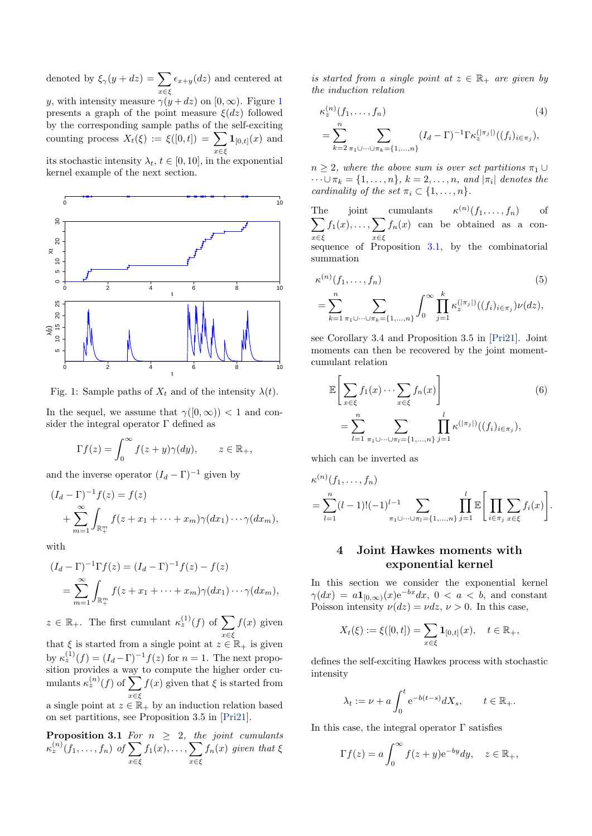denoted by  $\xi_{\gamma}(y+dz) = \sum$  $x \in \xi$  $\epsilon_{x+y}(dz)$  and centered at y, with intensity measure  $\gamma(y+dz)$  on  $[0,\infty)$ . Figure [1](#page-2-1) presents a graph of the point measure  $\xi(dz)$  followed by the corresponding sample paths of the self-exciting counting process  $X_t(\xi) := \xi([0,t]) = \sum$ x∈ξ  $\mathbf{1}_{[0,t]}(x)$  and

its stochastic intensity  $\lambda_t$ ,  $t \in [0, 10]$ , in the exponential kernel example of the next section.

<span id="page-2-1"></span>

Fig. 1: Sample paths of  $X_t$  and of the intensity  $\lambda(t)$ .

In the sequel, we assume that  $\gamma([0,\infty)) < 1$  and consider the integral operator  $\Gamma$  defined as

$$
\Gamma f(z) = \int_0^\infty f(z + y) \gamma(dy), \qquad z \in \mathbb{R}_+,
$$

and the inverse operator  $(I_d - \Gamma)^{-1}$  given by

$$
(I_d - \Gamma)^{-1} f(z) = f(z)
$$
  
+ 
$$
\sum_{m=1}^{\infty} \int_{\mathbb{R}_+^m} f(z + x_1 + \dots + x_m) \gamma(dx_1) \cdots \gamma(dx_m),
$$

with

$$
(I_d - \Gamma)^{-1} \Gamma f(z) = (I_d - \Gamma)^{-1} f(z) - f(z)
$$
  
= 
$$
\sum_{m=1}^{\infty} \int_{\mathbb{R}^m_+} f(z + x_1 + \dots + x_m) \gamma(dx_1) \dots \gamma(dx_m),
$$

 $z \in \mathbb{R}_+$ . The first cumulant  $\kappa_z^{(1)}(f)$  of  $\sum$ x∈ξ  $f(x)$  given

that  $\xi$  is started from a single point at  $z \in \mathbb{R}_+$  is given by  $\kappa_z^{(1)}(f) = (I_d - \Gamma)^{-1} f(z)$  for  $n = 1$ . The next proposition provides a way to compute the higher order cumulants  $\kappa_z^{(n)}(f)$  of  $\sum$ x∈ξ  $f(x)$  given that  $\xi$  is started from a single point at  $z \in \mathbb{R}_+$  by an induction relation based

on set partitions, see Proposition 3.5 in [\[Pri21\]](#page-6-6).

**Proposition 3.1** For  $n \geq 2$ , the joint cumulants  $\kappa^{(n)}_z(f_1,\ldots,f_n)$  of  $\sum$ x∈ξ  $f_1(x), \ldots, \sum$ x∈ξ  $f_n(x)$  given that  $\xi$  is started from a single point at  $z \in \mathbb{R}_+$  are given by the induction relation

<span id="page-2-3"></span>
$$
\kappa_z^{(n)}(f_1, \dots, f_n)
$$
\n
$$
= \sum_{k=2}^n \sum_{\pi_1 \cup \dots \cup \pi_k = \{1, \dots, n\}} (I_d - \Gamma)^{-1} \Gamma \kappa_z^{(|\pi_j|)}((f_i)_{i \in \pi_j}),
$$
\n(4)

 $n \geq 2$ , where the above sum is over set partitions  $\pi_1 \cup$  $\cdots \cup \pi_k = \{1, \ldots, n\}, k = 2, \ldots, n, \text{ and } |\pi_i| \text{ denotes the }$ cardinality of the set  $\pi_i \subset \{1, \ldots, n\}.$ 

The joint cumulants  $\kappa^{(n)}$  $\sum$  $(f_1, \ldots, f_n)$  of x∈ξ  $f_1(x), \ldots, \sum$  $x \in \xi$  $f_n(x)$  can be obtained as a consequence of Proposition [3.1,](#page-2-2) by the combinatorial summation

<span id="page-2-4"></span>
$$
\kappa^{(n)}(f_1, \dots, f_n)
$$
\n
$$
= \sum_{k=1}^n \sum_{\pi_1 \cup \dots \cup \pi_k = \{1, \dots, n\}} \int_0^\infty \prod_{j=1}^k \kappa_z^{(|\pi_j|)}((f_i)_{i \in \pi_j}) \nu(dz),
$$
\n(5)

see Corollary 3.4 and Proposition 3.5 in [\[Pri21\]](#page-6-6). Joint moments can then be recovered by the joint momentcumulant relation

<span id="page-2-5"></span>
$$
\mathbb{E}\left[\sum_{x\in\xi}f_1(x)\cdots\sum_{x\in\xi}f_n(x)\right]
$$
\n
$$
=\sum_{l=1}^n\sum_{\pi_1\cup\cdots\cup\pi_l=\{1,\ldots,n\}}\prod_{j=1}^l\kappa^{(|\pi_j|)}((f_i)_{i\in\pi_j}),
$$
\n(6)

which can be inverted as

$$
\kappa^{(n)}(f_1, \ldots, f_n) = \sum_{l=1}^n (l-1)! (-1)^{l-1} \sum_{\pi_1 \cup \cdots \cup \pi_l = \{1, \ldots, n\}} \prod_{j=1}^l \mathbb{E} \Bigg[ \prod_{i \in \pi_j} \sum_{x \in \xi} f_i(x) \Bigg].
$$

## <span id="page-2-0"></span>4 Joint Hawkes moments with exponential kernel

In this section we consider the exponential kernel  $\gamma(dx) = a\mathbf{1}_{[0,\infty)}(x)e^{-bx}dx, 0 < a < b$ , and constant Poisson intensity  $\nu(dz) = \nu dz$ ,  $\nu > 0$ . In this case,

$$
X_t(\xi) := \xi([0,t]) = \sum_{x \in \xi} \mathbf{1}_{[0,t]}(x), \quad t \in \mathbb{R}_+,
$$

defines the self-exciting Hawkes process with stochastic intensity

$$
\lambda_t := \nu + a \int_0^t e^{-b(t-s)} dX_s, \qquad t \in \mathbb{R}_+.
$$

<span id="page-2-2"></span>In this case, the integral operator  $\Gamma$  satisfies

$$
\Gamma f(z) = a \int_0^\infty f(z+y) e^{-by} dy, \quad z \in \mathbb{R}_+,
$$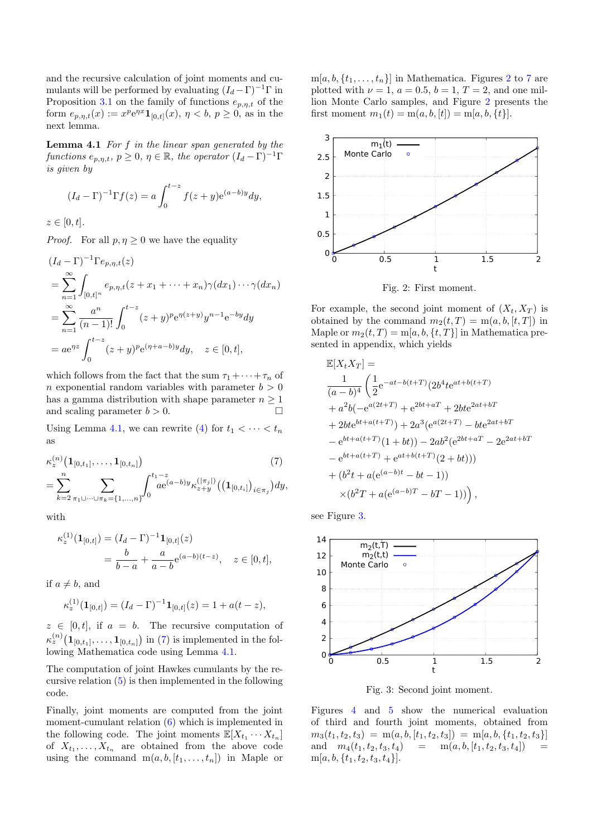and the recursive calculation of joint moments and cumulants will be performed by evaluating  $(I_d - \Gamma)^{-1} \Gamma$  in Proposition [3.1](#page-2-2) on the family of functions  $e_{p,\eta,t}$  of the form  $e_{p,\eta,t}(x) := x^p e^{\eta x} \mathbf{1}_{[0,t]}(x), \eta < b, p \ge 0$ , as in the next lemma.

<span id="page-3-0"></span>**Lemma 4.1** For  $f$  in the linear span generated by the functions  $e_{p,\eta,t}, p \geq 0, \eta \in \mathbb{R}$ , the operator  $(I_d - \Gamma)^{-1} \Gamma$ is given by

$$
(I_d - \Gamma)^{-1} \Gamma f(z) = a \int_0^{t-z} f(z+y) e^{(a-b)y} dy,
$$

 $z \in [0, t].$ 

*Proof.* For all  $p, \eta \geq 0$  we have the equality

$$
(I_d - \Gamma)^{-1} \Gamma e_{p,\eta,t}(z)
$$
  
= 
$$
\sum_{n=1}^{\infty} \int_{[0,t]^n} e_{p,\eta,t}(z + x_1 + \dots + x_n) \gamma(dx_1) \dots \gamma(dx_n)
$$
  
= 
$$
\sum_{n=1}^{\infty} \frac{a^n}{(n-1)!} \int_0^{t-z} (z + y)^p e^{\eta(z+y)} y^{n-1} e^{-by} dy
$$
  
= 
$$
a e^{\eta z} \int_0^{t-z} (z + y)^p e^{(\eta + a - b)y} dy, \quad z \in [0, t],
$$

which follows from the fact that the sum  $\tau_1 + \cdots + \tau_n$  of n exponential random variables with parameter  $b > 0$ has a gamma distribution with shape parameter  $n \geq 1$ and scaling parameter  $b > 0$ .

Using Lemma [4.1,](#page-3-0) we can rewrite [\(4\)](#page-2-3) for  $t_1 < \cdots < t_n$ as

$$
\kappa_z^{(n)}(1_{[0,t_1]},\ldots,1_{[0,t_n]})
$$
\n
$$
=\sum_{k=2}^n\sum_{\pi_1\cup\cdots\cup\pi_k=\{1,\ldots,n\}}\int_0^{t_1-z}e^{(a-b)y}\kappa_{z+y}^{(|\pi_j|)}((1_{[0,t_i]})_{i\in\pi_j})dy,
$$
\n
$$
(7)
$$

with

$$
\kappa_z^{(1)}(\mathbf{1}_{[0,t]}) = (I_d - \Gamma)^{-1} \mathbf{1}_{[0,t]}(z)
$$
  
=  $\frac{b}{b-a} + \frac{a}{a-b} e^{(a-b)(t-z)}, \quad z \in [0,t],$ 

if  $a \neq b$ , and

$$
\kappa_z^{(1)}(\mathbf{1}_{[0,t]}) = (I_d - \Gamma)^{-1} \mathbf{1}_{[0,t]}(z) = 1 + a(t - z),
$$

 $z \in [0, t]$ , if  $a = b$ . The recursive computation of  $\kappa_z^{(n)}\big(\mathbf{1}_{[0,t_1]},\ldots,\mathbf{1}_{[0,t_n]}\big)$  in [\(7\)](#page-3-1) is implemented in the following Mathematica code using Lemma [4.1.](#page-3-0)

The computation of joint Hawkes cumulants by the recursive relation [\(5\)](#page-2-4) is then implemented in the following code.

Finally, joint moments are computed from the joint moment-cumulant relation [\(6\)](#page-2-5) which is implemented in the following code. The joint moments  $\mathbb{E}[X_{t_1} \cdots X_{t_n}]$ of  $X_{t_1}, \ldots, X_{t_n}$  are obtained from the above code using the command  $m(a, b, [t_1, \ldots, t_n])$  in Maple or

 $m[a, b, \{t_1, \ldots, t_n\}]$  in Mathematica. Figures [2](#page-3-2) to [7](#page-4-0) are plotted with  $\nu = 1$ ,  $a = 0.5$ ,  $b = 1$ ,  $T = 2$ , and one million Monte Carlo samples, and Figure [2](#page-3-2) presents the first moment  $m_1(t) = m(a, b, [t]) = m[a, b, \{t\}].$ 

<span id="page-3-2"></span>

Fig. 2: First moment.

For example, the second joint moment of  $(X_t, X_T)$  is obtained by the command  $m_2(t,T) = m(a, b, [t, T])$  in Maple or  $m_2(t, T) = m[a, b, \{t, T\}]$  in Mathematica presented in appendix, which yields

$$
\mathbb{E}[X_t X_T] =
$$
\n
$$
\frac{1}{(a-b)^4} \left( \frac{1}{2} e^{-at - b(t+T)} (2b^4 t e^{at + b(t+T)} + a^2 b(-e^{a(2t+T)} + e^{2bt + aT} + 2b t e^{2at + bT} + 2b t e^{bt + a(t+T)}) + 2a^3 (e^{a(2t+T)} - b t e^{2at + bT} - e^{bt + a(t+T)} (1+bt)) - 2ab^2 (e^{2bt + aT} - 2e^{2at + bT} - e^{bt + a(t+T)} + e^{at + b(t+T)} (2+bt)))
$$
\n
$$
+ (b^2 t + a(e^{(a-b)t} - bt - 1))
$$
\n
$$
\times (b^2 T + a(e^{(a-b)T} - bT - 1)) \Big),
$$

<span id="page-3-1"></span>see Figure [3.](#page-3-3)

<span id="page-3-3"></span>

Fig. 3: Second joint moment.

Figures [4](#page-4-1) and [5](#page-4-2) show the numerical evaluation of third and fourth joint moments, obtained from  $m_3(t_1, t_2, t_3) = m(a, b, [t_1, t_2, t_3]) = m[a, b, \{t_1, t_2, t_3\}]$ and  $m_4(t_1, t_2, t_3, t_4) = m(a, b, [t_1, t_2, t_3, t_4])$  $m[a, b, \{t_1, t_2, t_3, t_4\}].$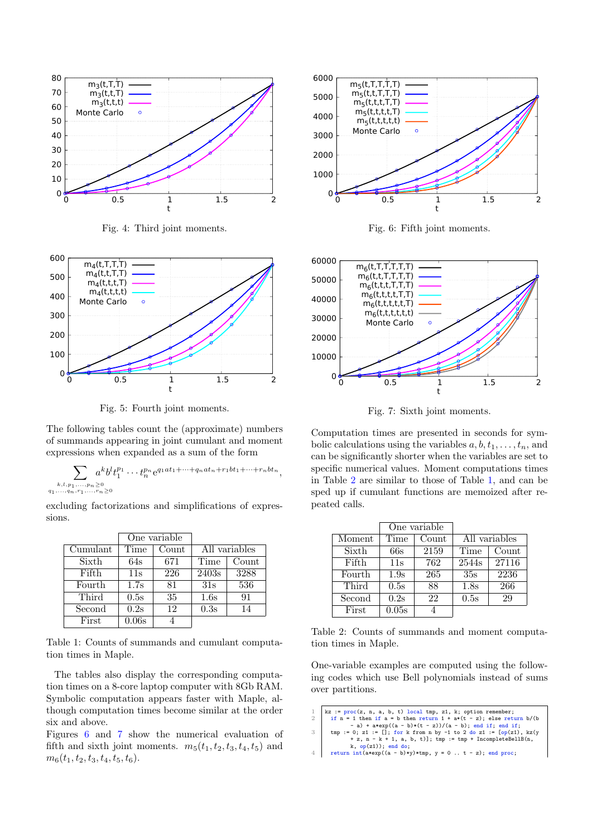<span id="page-4-1"></span>

Fig. 4: Third joint moments.

<span id="page-4-2"></span>

Fig. 5: Fourth joint moments.

The following tables count the (approximate) numbers of summands appearing in joint cumulant and moment expressions when expanded as a sum of the form

$$
\sum_{\substack{k,l,p_1,\ldots,p_n\geq 0\\ q_1,\ldots,q_n,r_1,\ldots,r_n\geq 0}} a^k b^l t_1^{p_1}\cdots t_n^{p_n} e^{q_1at_1+\cdots+q_nat_n+r_1bt_1+\cdots+r_nbt_n},
$$

excluding factorizations and simplifications of expressions.

<span id="page-4-5"></span>

|          | One variable |       |               |       |
|----------|--------------|-------|---------------|-------|
| Cumulant | Time         | Count | All variables |       |
| Sixth    | 64s          | 671   | Time          | Count |
| Fifth    | 11s          | 226   | 2403s         | 3288  |
| Fourth   | 1.7s         | 81    | 31s           | 536   |
| Third    | 0.5s         | 35    | 1.6s          | 91    |
| Second   | 0.2s         | 12    | 0.3s          | 14    |
| First    | 0.06s        |       |               |       |

Table 1: Counts of summands and cumulant computation times in Maple.

The tables also display the corresponding computation times on a 8-core laptop computer with 8Gb RAM. Symbolic computation appears faster with Maple, although computation times become similar at the order six and above.

Figures [6](#page-4-3) and [7](#page-4-0) show the numerical evaluation of fifth and sixth joint moments.  $m_5(t_1, t_2, t_3, t_4, t_5)$  and  $m_6(t_1, t_2, t_3, t_4, t_5, t_6).$ 

<span id="page-4-3"></span>

Fig. 6: Fifth joint moments.

<span id="page-4-0"></span>

Fig. 7: Sixth joint moments.

Computation times are presented in seconds for symbolic calculations using the variables  $a, b, t_1, \ldots, t_n$ , and can be significantly shorter when the variables are set to specific numerical values. Moment computations times in Table [2](#page-4-4) are similar to those of Table [1,](#page-4-5) and can be sped up if cumulant functions are memoized after repeated calls.

<span id="page-4-4"></span>

|        | One variable |       |               |       |
|--------|--------------|-------|---------------|-------|
| Moment | Time         | Count | All variables |       |
| Sixth  | 66s          | 2159  | Time          | Count |
| Fifth  | 11s          | 762   | 2544s         | 27116 |
| Fourth | 1.9s         | 265   | 35s           | 2236  |
| Third  | 0.5s         | 88    | 1.8s          | 266   |
| Second | 0.2s         | 22    | 0.5s          | 29    |
| First  | 0.05s        |       |               |       |

Table 2: Counts of summands and moment computation times in Maple.

One-variable examples are computed using the following codes which use Bell polynomials instead of sums over partitions.

```
1 kz := proc(z, n, a, b, t) local tmp, z1, k; option remember;<br>
if n = 1 then if a = b then return 1 + a*(t - z): else return
```

```
if n = 1 then if a = b then return 1 + a*(t - z); else return b/(t - z)/(a - b); else return b) (then if; end if; end if; end if; end if; end if; end if; end if; end if; end if; end if; end if; end if; end if; end if; end if; en
```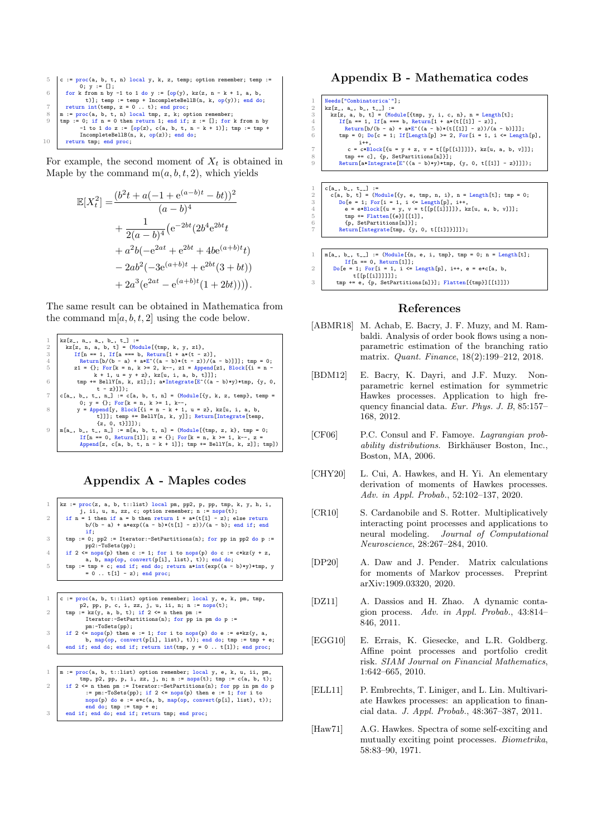```
5 \mid c := \text{proc}(a, b, t, n) \text{local } y, k, z, \text{temp}; \text{option remember}; \text{temp} :=0; y := [];<br>6 for k from n by -1 to 1 do y := [op(y), kz(z, n - k + 1, a, b,
                     t)]; temp := temp + IncompleteBellB(n, k, op(y)); end do;
  return int(temp, z = 0..t); end proc;<br>
m := proc(a, b, t, n) local tmp, z, k; option remember;<br>
9 tmp := 0; if n = 0 then return i; end if; z := []; for k from n by<br>
-1 to 1 do z := [op(z), c(a, b, t, n - k + 1)]; tmp := 
                  IncompleteBellB(n, k, op(z)); end do;
10 return tmp; end proc;
```
For example, the second moment of  $X_t$  is obtained in Maple by the command  $m(a, b, t, 2)$ , which yields

$$
\mathbb{E}[X_t^2] = \frac{(b^2t + a(-1 + e^{(a-b)t} - bt))^2}{(a-b)^4} \n+ \frac{1}{2(a-b)^4} (e^{-2bt}(2b^4e^{2bt} + a^2b(-e^{2at} + e^{2bt} + 4be^{(a+b)t}t)) \n- 2ab^2(-3e^{(a+b)t} + e^{2bt}(3+bt)) \n+ 2a^3(e^{2at} - e^{(a+b)t}(1+2bt)))).
$$

The same result can be obtained in Mathematica from the command  $m[a, b, t, 2]$  using the code below.



Appendix A - Maples codes



end do; tmp := tmp + e;<br>3 end if; end do; end if; return tmp; end proc;

## Appendix B - Mathematica codes

| 1              | Needs["Combinatorica'"];                                                |
|----------------|-------------------------------------------------------------------------|
| $\overline{2}$ | $kz[z_-, a_-, b_-, t_-]$ :=                                             |
| 3              | $kz[z, a, b, t] = (Module[tmp, y, i, c, n], n = Length[t];$             |
| 4              | If $[n == 1, If [a == b, Return[1 + a*(t[[1]] - z)],$                   |
| 5              | $Return[b/(b - a) + a*E^*((a - b)*(t[[1]] - z))/(a - b)]]$ ;            |
| 6              | $tmp = 0; Do[c = 1; If[Length[p] >= 2, For[i = 1, i <= Length[p],$      |
|                | $i++$ .                                                                 |
| $\overline{7}$ | c = c*Block[{u = y + z, v = t[[p[[i]]]]}, kz[u, a, b, v]]];             |
| 8              | tmp += c], {p, SetPartitions[n]}];                                      |
| 9              | $Return[a*Integrate[E^((a - b)*y)*tmp, {y, 0, t[[1]] - z}]]);$          |
|                |                                                                         |
|                |                                                                         |
|                |                                                                         |
| 1              | $c[a_-, b_-, t_+] :=$                                                   |
| $\overline{2}$ | c[a, b, t] = $(Module[{y, e, tmp, n, i}, n = Length[t]; tmp = 0;$       |
| 3              | $Do[e = 1; For[i = 1, i \le Length[p], i++,$                            |
| 4              | $e = e * Block[(u = y, v = t[[p[[i]]]]], kz[u, a, b, v]]];$             |
| 5              | $tmp \leftarrow \text{Flatten}[\{e\}][[1]]$ ,                           |
| 6              | {p, SetPartitions[n]}];                                                 |
| 7              | Return[Integrate[tmp, {y, 0, t[[1]]}]]]);                               |
|                |                                                                         |
|                |                                                                         |
| $\mathbf{1}$   | $m[a_-, b_-, t_-] := (Module[{n, e, i, tmp}, tmp = 0; n = Length[t];$   |
|                | If $[n == 0$ . Return[1]]:                                              |
| 2              | $Do[e = 1; For[i = 1, i \le Length[p], i++, e = e * c[a, b,$            |
|                | $t[[p[[i]]]]]]$ ;                                                       |
| 3              | $tmp \leftarrow e, \{p, SetPartitions[n]\}\};$ $Flatten[{tmp}\][[1]]])$ |
|                |                                                                         |

#### References

- <span id="page-5-8"></span>[ABMR18] M. Achab, E. Bacry, J. F. Muzy, and M. Rambaldi. Analysis of order book flows using a nonparametric estimation of the branching ratio matrix. Quant. Finance, 18(2):199–212, 2018.
- <span id="page-5-7"></span>[BDM12] E. Bacry, K. Dayri, and J.F. Muzy. Nonparametric kernel estimation for symmetric Hawkes processes. Application to high frequency financial data. Eur. Phys. J. B, 85:157– 168, 2012.
- <span id="page-5-9"></span>[CF06] P.C. Consul and F. Famoye. Lagrangian probability distributions. Birkhäuser Boston, Inc., Boston, MA, 2006.
- <span id="page-5-5"></span>[CHY20] L. Cui, A. Hawkes, and H. Yi. An elementary derivation of moments of Hawkes processes. Adv. in Appl. Probab., 52:102–137, 2020.
- <span id="page-5-1"></span>[CR10] S. Cardanobile and S. Rotter. Multiplicatively interacting point processes and applications to neural modeling. Journal of Computational Neuroscience, 28:267–284, 2010.
- <span id="page-5-6"></span>[DP20] A. Daw and J. Pender. Matrix calculations for moments of Markov processes. Preprint arXiv:1909.03320, 2020.
- <span id="page-5-3"></span>[DZ11] A. Dassios and H. Zhao. A dynamic contagion process. Adv. in Appl. Probab., 43:814– 846, 2011.
- <span id="page-5-4"></span>[EGG10] E. Errais, K. Giesecke, and L.R. Goldberg. Affine point processes and portfolio credit risk. SIAM Journal on Financial Mathematics, 1:642–665, 2010.
- <span id="page-5-2"></span>[ELL11] P. Embrechts, T. Liniger, and L. Lin. Multivariate Hawkes processes: an application to financial data. J. Appl. Probab., 48:367–387, 2011.
- <span id="page-5-0"></span>[Haw71] A.G. Hawkes. Spectra of some self-exciting and mutually exciting point processes. Biometrika, 58:83–90, 1971.